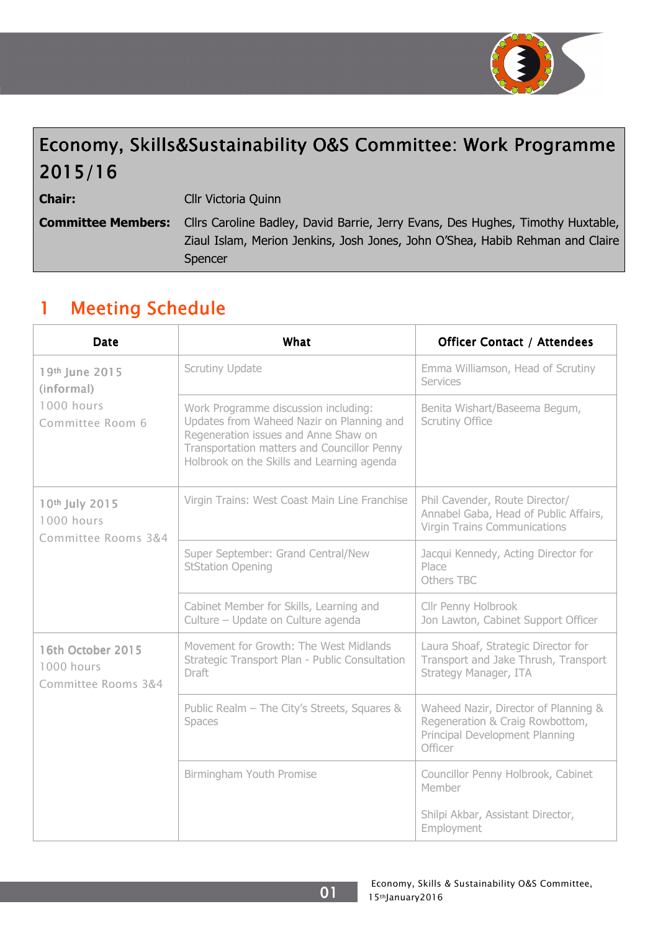

# Economy, Skills&Sustainability O&S Committee: Work Programme 2015/16

Chair:

Cllr Victoria Quinn

Committee Members: Cllrs Caroline Badley, David Barrie, Jerry Evans, Des Hughes, Timothy Huxtable, Ziaul Islam, Merion Jenkins, Josh Jones, John O'Shea, Habib Rehman and Claire Spencer

## 1 Meeting Schedule

| Date                                                           | What                                                                                                                                                                                                                   | <b>Officer Contact / Attendees</b>                                                                                   |  |
|----------------------------------------------------------------|------------------------------------------------------------------------------------------------------------------------------------------------------------------------------------------------------------------------|----------------------------------------------------------------------------------------------------------------------|--|
| 19th June 2015<br>(informal)<br>1000 hours<br>Committee Room 6 | <b>Scrutiny Update</b>                                                                                                                                                                                                 | Emma Williamson, Head of Scrutiny<br><b>Services</b>                                                                 |  |
|                                                                | Work Programme discussion including:<br>Updates from Waheed Nazir on Planning and<br>Regeneration issues and Anne Shaw on<br>Transportation matters and Councillor Penny<br>Holbrook on the Skills and Learning agenda | Benita Wishart/Baseema Begum,<br><b>Scrutiny Office</b>                                                              |  |
| 10th July 2015<br>1000 hours<br>Committee Rooms 3&4            | Virgin Trains: West Coast Main Line Franchise                                                                                                                                                                          | Phil Cavender, Route Director/<br>Annabel Gaba, Head of Public Affairs,<br><b>Virgin Trains Communications</b>       |  |
|                                                                | Super September: Grand Central/New<br><b>StStation Opening</b>                                                                                                                                                         | Jacqui Kennedy, Acting Director for<br>Place<br>Others TBC                                                           |  |
|                                                                | Cabinet Member for Skills, Learning and<br>Culture - Update on Culture agenda                                                                                                                                          | Cllr Penny Holbrook<br>Jon Lawton, Cabinet Support Officer                                                           |  |
| 16th October 2015<br>1000 hours<br>Committee Rooms 3&4         | Movement for Growth: The West Midlands<br>Strategic Transport Plan - Public Consultation<br>Draft                                                                                                                      | Laura Shoaf, Strategic Director for<br>Transport and Jake Thrush, Transport<br>Strategy Manager, ITA                 |  |
|                                                                | Public Realm - The City's Streets, Squares &<br>Spaces                                                                                                                                                                 | Waheed Nazir, Director of Planning &<br>Regeneration & Craig Rowbottom,<br>Principal Development Planning<br>Officer |  |
|                                                                | Birmingham Youth Promise                                                                                                                                                                                               | Councillor Penny Holbrook, Cabinet<br>Member                                                                         |  |
|                                                                |                                                                                                                                                                                                                        | Shilpi Akbar, Assistant Director,<br>Employment                                                                      |  |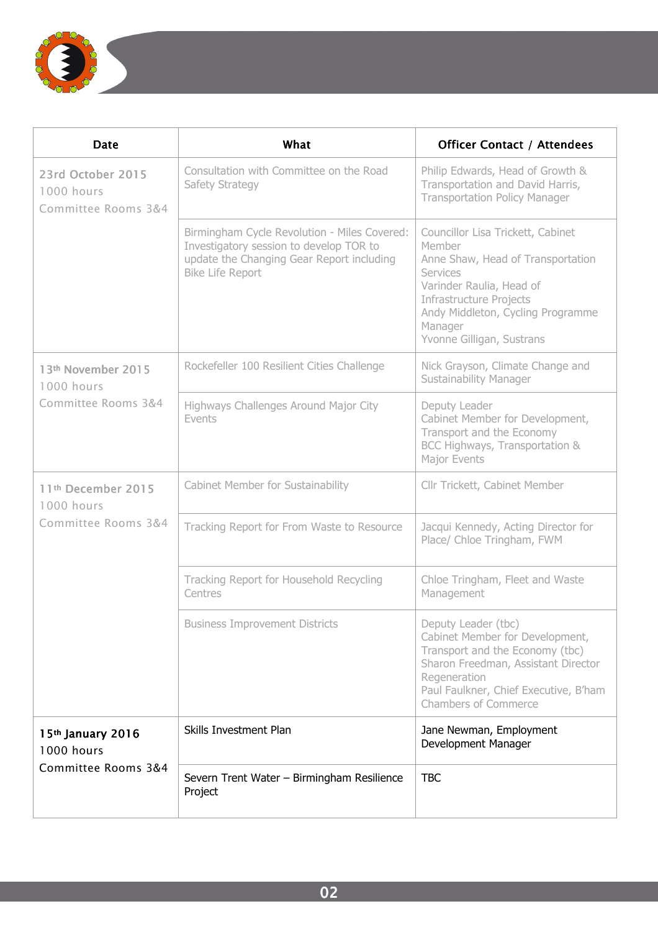

| Date                                                    | What                                                                                                                                                            | <b>Officer Contact / Attendees</b>                                                                                                                                                                                                      |
|---------------------------------------------------------|-----------------------------------------------------------------------------------------------------------------------------------------------------------------|-----------------------------------------------------------------------------------------------------------------------------------------------------------------------------------------------------------------------------------------|
| 23rd October 2015<br>1000 hours<br>Committee Rooms 3&4  | Consultation with Committee on the Road<br>Safety Strategy                                                                                                      | Philip Edwards, Head of Growth &<br>Transportation and David Harris,<br><b>Transportation Policy Manager</b>                                                                                                                            |
|                                                         | Birmingham Cycle Revolution - Miles Covered:<br>Investigatory session to develop TOR to<br>update the Changing Gear Report including<br><b>Bike Life Report</b> | Councillor Lisa Trickett, Cabinet<br>Member<br>Anne Shaw, Head of Transportation<br><b>Services</b><br>Varinder Raulia, Head of<br>Infrastructure Projects<br>Andy Middleton, Cycling Programme<br>Manager<br>Yvonne Gilligan, Sustrans |
| 13th November 2015<br>1000 hours                        | Rockefeller 100 Resilient Cities Challenge                                                                                                                      | Nick Grayson, Climate Change and<br><b>Sustainability Manager</b>                                                                                                                                                                       |
| Committee Rooms 3&4                                     | Highways Challenges Around Major City<br>Events                                                                                                                 | Deputy Leader<br>Cabinet Member for Development,<br>Transport and the Economy<br>BCC Highways, Transportation &<br>Major Events                                                                                                         |
| 11th December 2015<br>1000 hours<br>Committee Rooms 3&4 | Cabinet Member for Sustainability                                                                                                                               | Cllr Trickett, Cabinet Member                                                                                                                                                                                                           |
|                                                         | Tracking Report for From Waste to Resource                                                                                                                      | Jacqui Kennedy, Acting Director for<br>Place/ Chloe Tringham, FWM                                                                                                                                                                       |
|                                                         | Tracking Report for Household Recycling<br>Centres                                                                                                              | Chloe Tringham, Fleet and Waste<br>Management                                                                                                                                                                                           |
|                                                         | <b>Business Improvement Districts</b>                                                                                                                           | Deputy Leader (tbc)<br>Cabinet Member for Development,<br>Transport and the Economy (tbc)<br>Sharon Freedman, Assistant Director<br>Regeneration<br>Paul Faulkner, Chief Executive, B'ham<br><b>Chambers of Commerce</b>                |
| 15th January 2016<br>1000 hours<br>Committee Rooms 3&4  | Skills Investment Plan                                                                                                                                          | Jane Newman, Employment<br>Development Manager                                                                                                                                                                                          |
|                                                         | Severn Trent Water - Birmingham Resilience<br>Project                                                                                                           | <b>TBC</b>                                                                                                                                                                                                                              |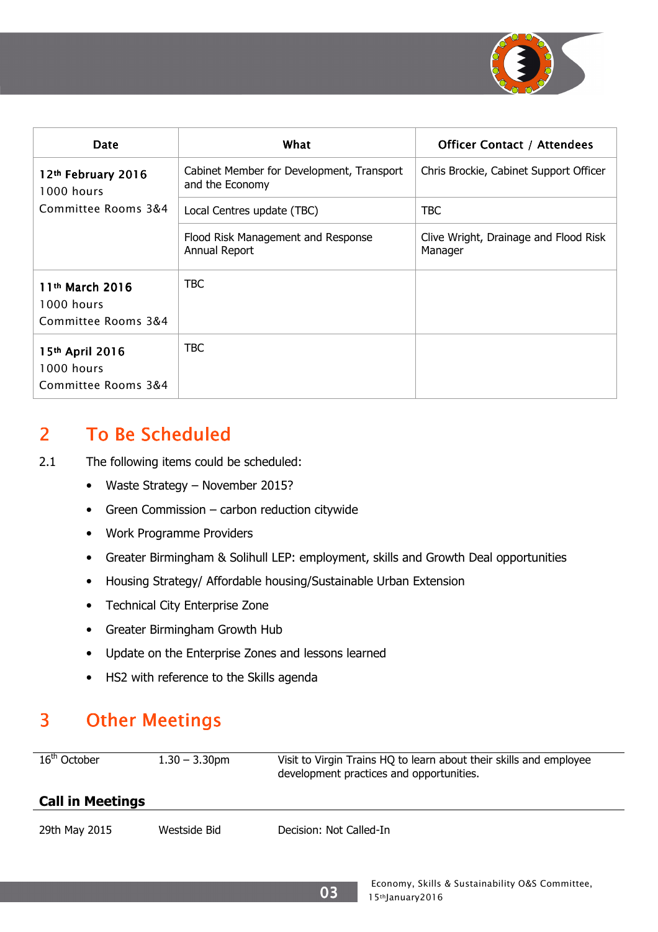

| <b>Date</b>                                                      | What                                                         | <b>Officer Contact / Attendees</b>               |
|------------------------------------------------------------------|--------------------------------------------------------------|--------------------------------------------------|
| 12th February 2016<br>1000 hours<br>Committee Rooms 3&4          | Cabinet Member for Development, Transport<br>and the Economy | Chris Brockie, Cabinet Support Officer           |
|                                                                  | Local Centres update (TBC)                                   | <b>TBC</b>                                       |
|                                                                  | Flood Risk Management and Response<br>Annual Report          | Clive Wright, Drainage and Flood Risk<br>Manager |
| 11 <sup>th</sup> March 2016<br>1000 hours<br>Committee Rooms 3&4 | TBC                                                          |                                                  |
| 15th April 2016<br>1000 hours<br>Committee Rooms 3&4             | TBC                                                          |                                                  |

## 2 To Be Scheduled

- 2.1 The following items could be scheduled:
	- Waste Strategy November 2015?
	- Green Commission carbon reduction citywide
	- Work Programme Providers
	- Greater Birmingham & Solihull LEP: employment, skills and Growth Deal opportunities
	- Housing Strategy/ Affordable housing/Sustainable Urban Extension
	- Technical City Enterprise Zone
	- Greater Birmingham Growth Hub
	- Update on the Enterprise Zones and lessons learned
	- HS2 with reference to the Skills agenda

## 3 Other Meetings

| $16th$ October          | $1.30 - 3.30$ pm | Visit to Virgin Trains HQ to learn about their skills and employee<br>development practices and opportunities. |
|-------------------------|------------------|----------------------------------------------------------------------------------------------------------------|
| <b>Call in Meetings</b> |                  |                                                                                                                |
| 29th May 2015           | Westside Bid     | Decision: Not Called-In                                                                                        |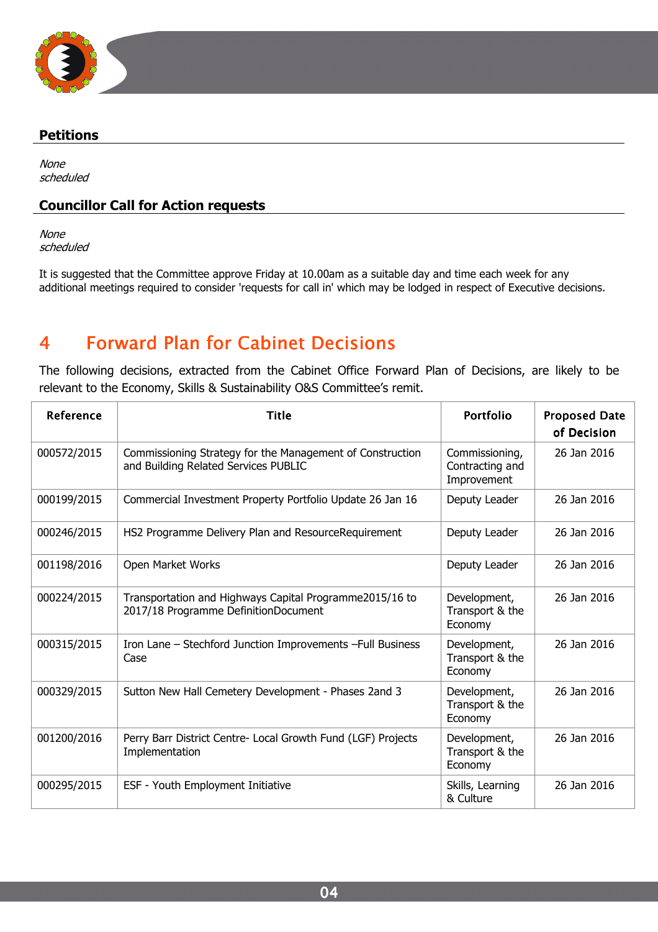

#### Petitions

None scheduled

#### Councillor Call for Action requests

None scheduled

It is suggested that the Committee approve Friday at 10.00am as a suitable day and time each week for any additional meetings required to consider 'requests for call in' which may be lodged in respect of Executive decisions.

## 4 Forward Plan for Cabinet Decisions

The following decisions, extracted from the Cabinet Office Forward Plan of Decisions, are likely to be relevant to the Economy, Skills & Sustainability O&S Committee's remit.

| Reference   | <b>Title</b>                                                                                      | Portfolio                                        | <b>Proposed Date</b><br>of Decision |
|-------------|---------------------------------------------------------------------------------------------------|--------------------------------------------------|-------------------------------------|
| 000572/2015 | Commissioning Strategy for the Management of Construction<br>and Building Related Services PUBLIC | Commissioning,<br>Contracting and<br>Improvement | 26 Jan 2016                         |
| 000199/2015 | Commercial Investment Property Portfolio Update 26 Jan 16                                         | Deputy Leader                                    | 26 Jan 2016                         |
| 000246/2015 | HS2 Programme Delivery Plan and ResourceRequirement                                               | Deputy Leader                                    | 26 Jan 2016                         |
| 001198/2016 | Open Market Works                                                                                 | Deputy Leader                                    | 26 Jan 2016                         |
| 000224/2015 | Transportation and Highways Capital Programme2015/16 to<br>2017/18 Programme DefinitionDocument   | Development,<br>Transport & the<br>Economy       | 26 Jan 2016                         |
| 000315/2015 | Iron Lane - Stechford Junction Improvements - Full Business<br>Case                               | Development,<br>Transport & the<br>Economy       | 26 Jan 2016                         |
| 000329/2015 | Sutton New Hall Cemetery Development - Phases 2and 3                                              | Development,<br>Transport & the<br>Economy       | 26 Jan 2016                         |
| 001200/2016 | Perry Barr District Centre- Local Growth Fund (LGF) Projects<br>Implementation                    | Development,<br>Transport & the<br>Economy       | 26 Jan 2016                         |
| 000295/2015 | ESF - Youth Employment Initiative                                                                 | Skills, Learning<br>& Culture                    | 26 Jan 2016                         |